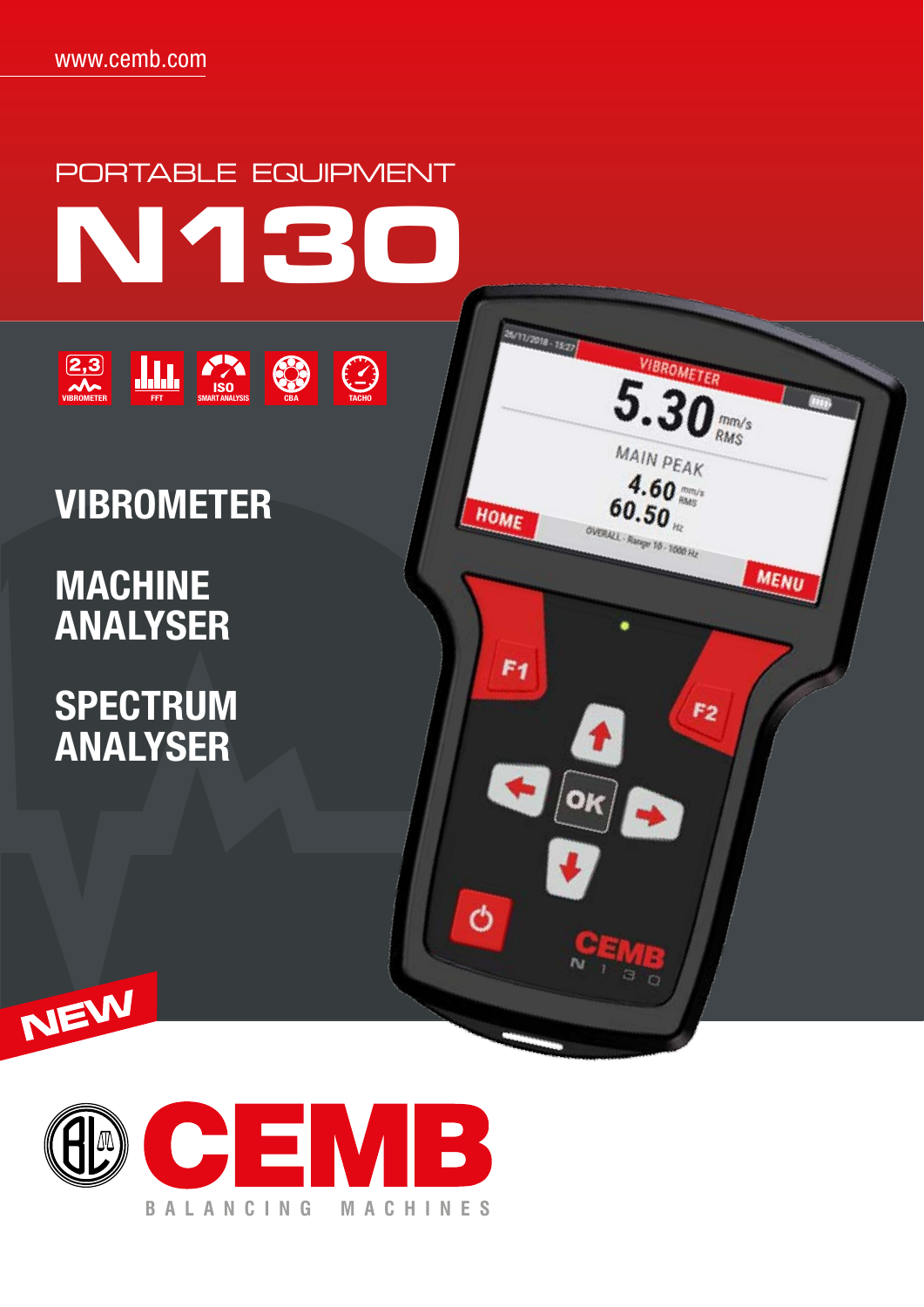

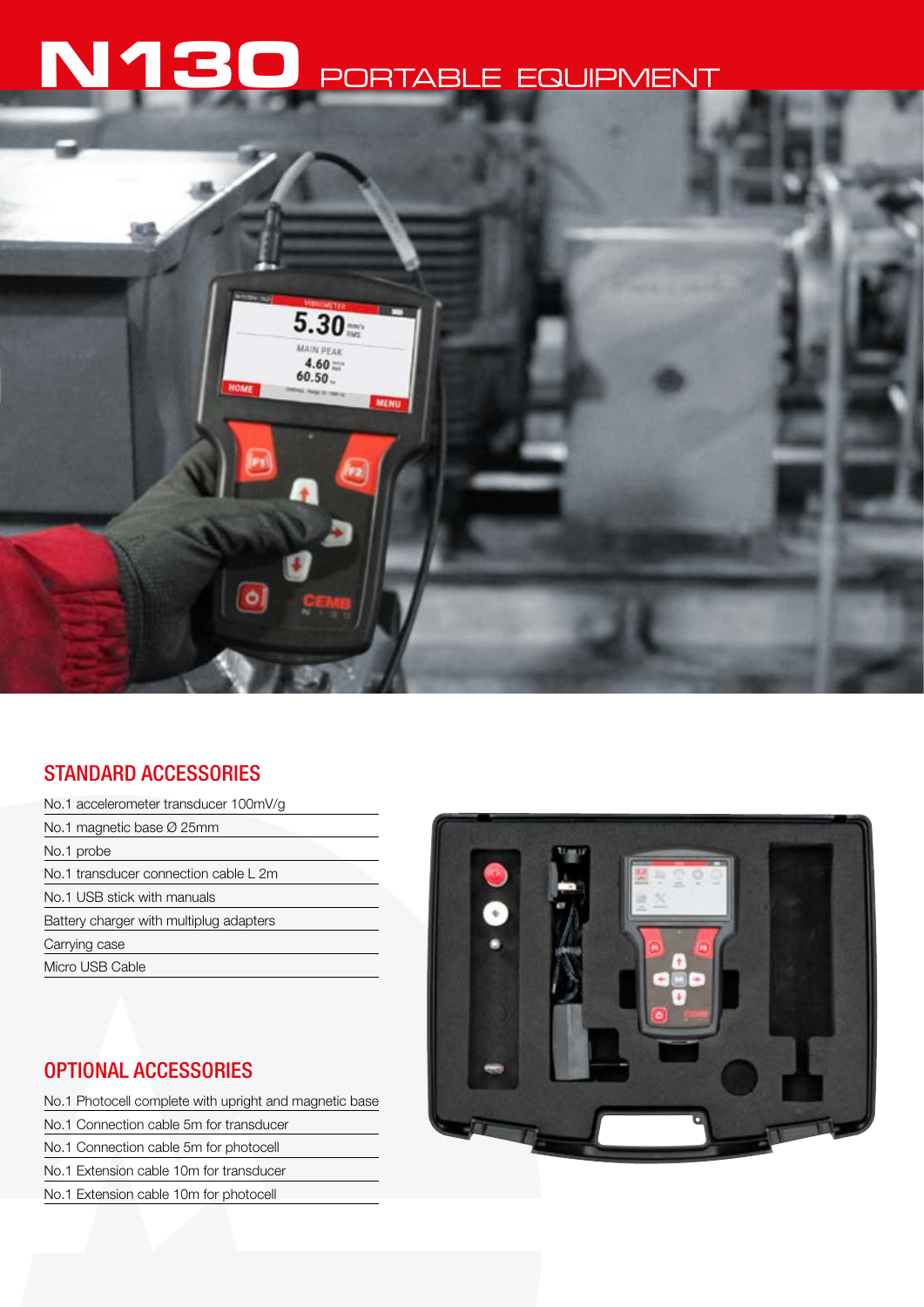# **N130** PORTABLE EQUIPMENT



# STANDARD ACCESSORIES

| No.1 accelerometer transducer 100mV/g   |
|-----------------------------------------|
| No.1 magnetic base $\varnothing$ 25mm   |
| No.1 probe                              |
| No.1 transducer connection cable L 2m   |
| No.1 USB stick with manuals             |
| Battery charger with multiplug adapters |
| Carrying case                           |
| Micro USB Cable                         |

# OPTIONAL ACCESSORIES

No.1 Photocell complete with upright and magnetic base

- No.1 Connection cable 5m for transducer
- No.1 Connection cable 5m for photocell
- No.1 Extension cable 10m for transducer
- No.1 Extension cable 10m for photocell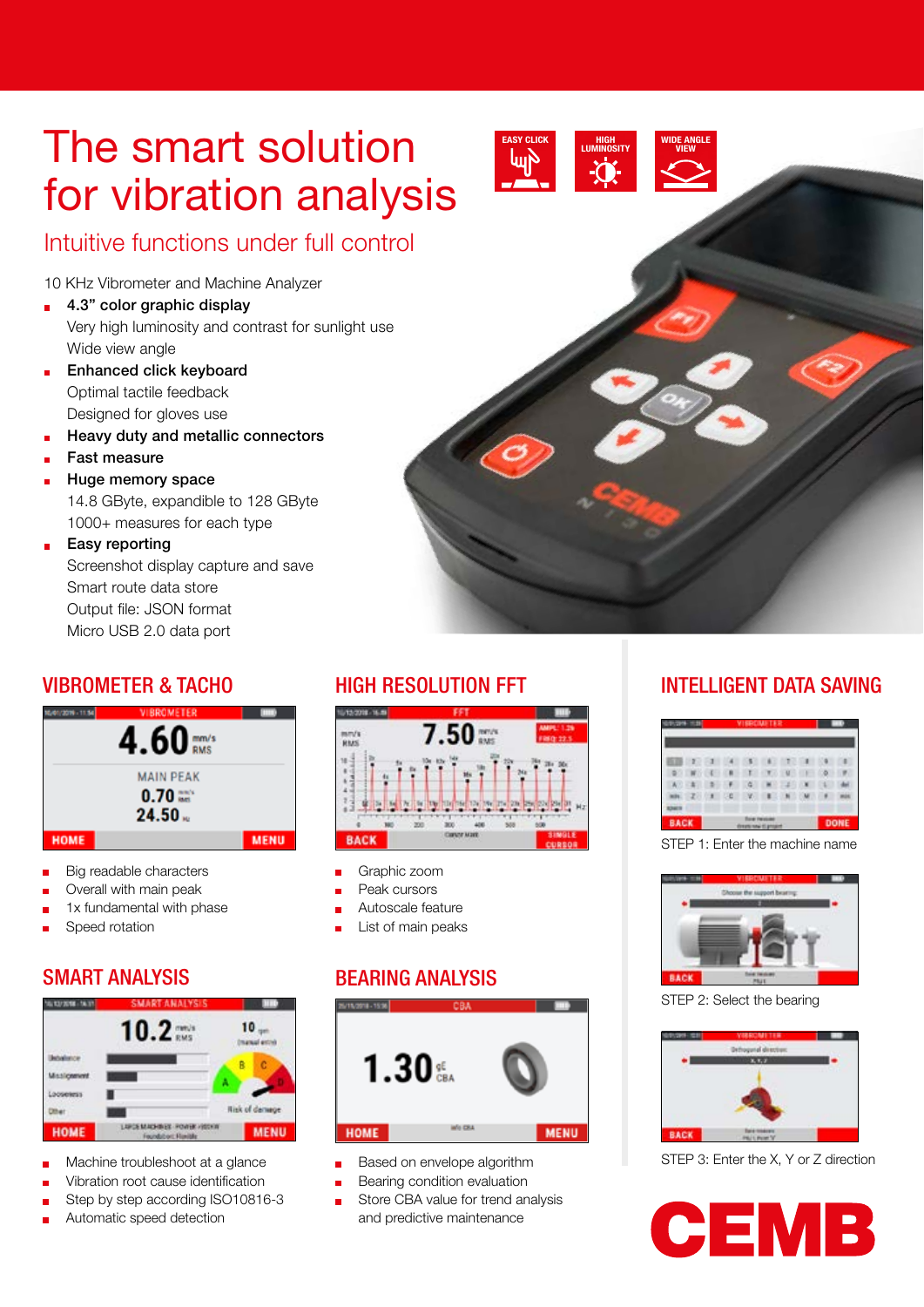# The smart solution for vibration analysis



# Intuitive functions under full control

10 KHz Vibrometer and Machine Analyzer

- $\blacksquare$  4.3" color graphic display Very high luminosity and contrast for sunlight use Wide view angle
- Enhanced click keyboard  $\blacksquare$ Optimal tactile feedback Designed for gloves use
- Heavy duty and metallic connectors
- Fast measure
- Huge memory space

14.8 GByte, expandible to 128 GByte 1000+ measures for each type

Easy reporting ř. Screenshot display capture and save Smart route data store Output file: JSON format Micro USB 2.0 data port

# VIBROMETER & TACHO



- Big readable characters
- Overall with main peak
- 1x fundamental with phase
- Speed rotation

# SMART ANALYSIS



- Machine troubleshoot at a glance
- Vibration root cause identification
- Step by step according ISO10816-3
- Automatic speed detection



- Graphic zoom
- Peak cursors
- Autoscale feature
- List of main peaks

# BEARING ANALYSIS



- Based on envelope algorithm
- Bearing condition evaluation
- Store CBA value for trend analysis and predictive maintenance

# HIGH RESOLUTION FFT **INTELLIGENT DATA SAVING**

|          | $-2$ | $-1$          |                | 15.1   | 8        | ×                   |    |  |
|----------|------|---------------|----------------|--------|----------|---------------------|----|--|
| <b>B</b> | M.   |               |                | ٠<br>т | ×<br>- 7 | $\blacksquare$<br>× |    |  |
| ×        | $-1$ | $\rightarrow$ |                | a      | ٠        | 223                 | U. |  |
|          | $-2$ | $\mathbf{r}$  | <b>DB</b><br>٠ | W      |          |                     |    |  |

STEP 1: Enter the machine name



STEP 2: Select the bearing



STEP 3: Enter the X, Y or Z direction